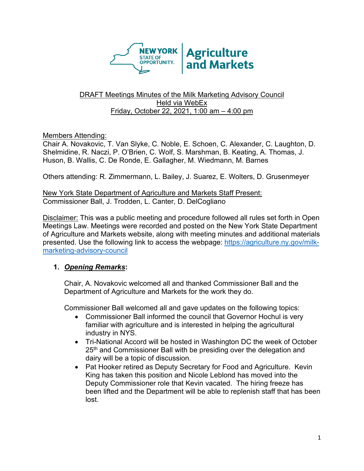

#### DRAFT Meetings Minutes of the Milk Marketing Advisory Council Held via WebEx Friday, October 22, 2021, 1:00 am – 4:00 pm

## Members Attending:

Chair A. Novakovic, T. Van Slyke, C. Noble, E. Schoen, C. Alexander, C. Laughton, D. Shelmidine, R. Naczi, P. O'Brien, C. Wolf, S. Marshman, B. Keating, A. Thomas, J. Huson, B. Wallis, C. De Ronde, E. Gallagher, M. Wiedmann, M. Barnes

Others attending: R. Zimmermann, L. Bailey, J. Suarez, E. Wolters, D. Grusenmeyer

New York State Department of Agriculture and Markets Staff Present: Commissioner Ball, J. Trodden, L. Canter, D. DelCogliano

Disclaimer: This was a public meeting and procedure followed all rules set forth in Open Meetings Law. Meetings were recorded and posted on the New York State Department of Agriculture and Markets website, along with meeting minutes and additional materials presented. Use the following link to access the webpage: [https://agriculture.ny.gov/milk](https://agriculture.ny.gov/milk-marketing-advisory-council)[marketing-advisory-council](https://agriculture.ny.gov/milk-marketing-advisory-council)

## **1.** *Opening Remarks***:**

Chair, A. Novakovic welcomed all and thanked Commissioner Ball and the Department of Agriculture and Markets for the work they do.

Commissioner Ball welcomed all and gave updates on the following topics:

- Commissioner Ball informed the council that Governor Hochul is very familiar with agriculture and is interested in helping the agricultural industry in NYS.
- Tri-National Accord will be hosted in Washington DC the week of October 25<sup>th</sup> and Commissioner Ball with be presiding over the delegation and dairy will be a topic of discussion.
- Pat Hooker retired as Deputy Secretary for Food and Agriculture. Kevin King has taken this position and Nicole Leblond has moved into the Deputy Commissioner role that Kevin vacated. The hiring freeze has been lifted and the Department will be able to replenish staff that has been lost.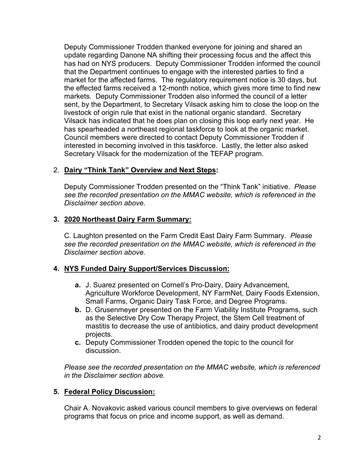Deputy Commissioner Trodden thanked everyone for joining and shared an update regarding Danone NA shifting their processing focus and the affect this has had on NYS producers. Deputy Commissioner Trodden informed the council that the Department continues to engage with the interested parties to find a market for the affected farms. The regulatory requirement notice is 30 days, but the effected farms received a 12-month notice, which gives more time to find new markets. Deputy Commissioner Trodden also informed the council of a letter sent, by the Department, to Secretary Vilsack asking him to close the loop on the livestock of origin rule that exist in the national organic standard. Secretary Vilsack has indicated that he does plan on closing this loop early next year. He has spearheaded a northeast regional taskforce to look at the organic market. Council members were directed to contact Deputy Commissioner Trodden if interested in becoming involved in this taskforce. Lastly, the letter also asked Secretary Vilsack for the modernization of the TEFAP program.

## 2. **Dairy "Think Tank" Overview and Next Steps:**

Deputy Commissioner Trodden presented on the "Think Tank" initiative. *Please see the recorded presentation on the MMAC website, which is referenced in the Disclaimer section above.*

# **3. 2020 Northeast Dairy Farm Summary:**

C. Laughton presented on the Farm Credit East Dairy Farm Summary. *Please see the recorded presentation on the MMAC website, which is referenced in the Disclaimer section above.*

## **4. NYS Funded Dairy Support/Services Discussion:**

- **a.** J. Suarez presented on Cornell's Pro-Dairy, Dairy Advancement, Agriculture Workforce Development, NY FarmNet, Dairy Foods Extension, Small Farms, Organic Dairy Task Force, and Degree Programs.
- **b.** D. Grusenmeyer presented on the Farm Viability Institute Programs, such as the Selective Dry Cow Therapy Project, the Stem Cell treatment of mastitis to decrease the use of antibiotics, and dairy product development projects.
- **c.** Deputy Commissioner Trodden opened the topic to the council for discussion.

*Please see the recorded presentation on the MMAC website, which is referenced in the Disclaimer section above.*

## **5. Federal Policy Discussion:**

Chair A. Novakovic asked various council members to give overviews on federal programs that focus on price and income support, as well as demand.